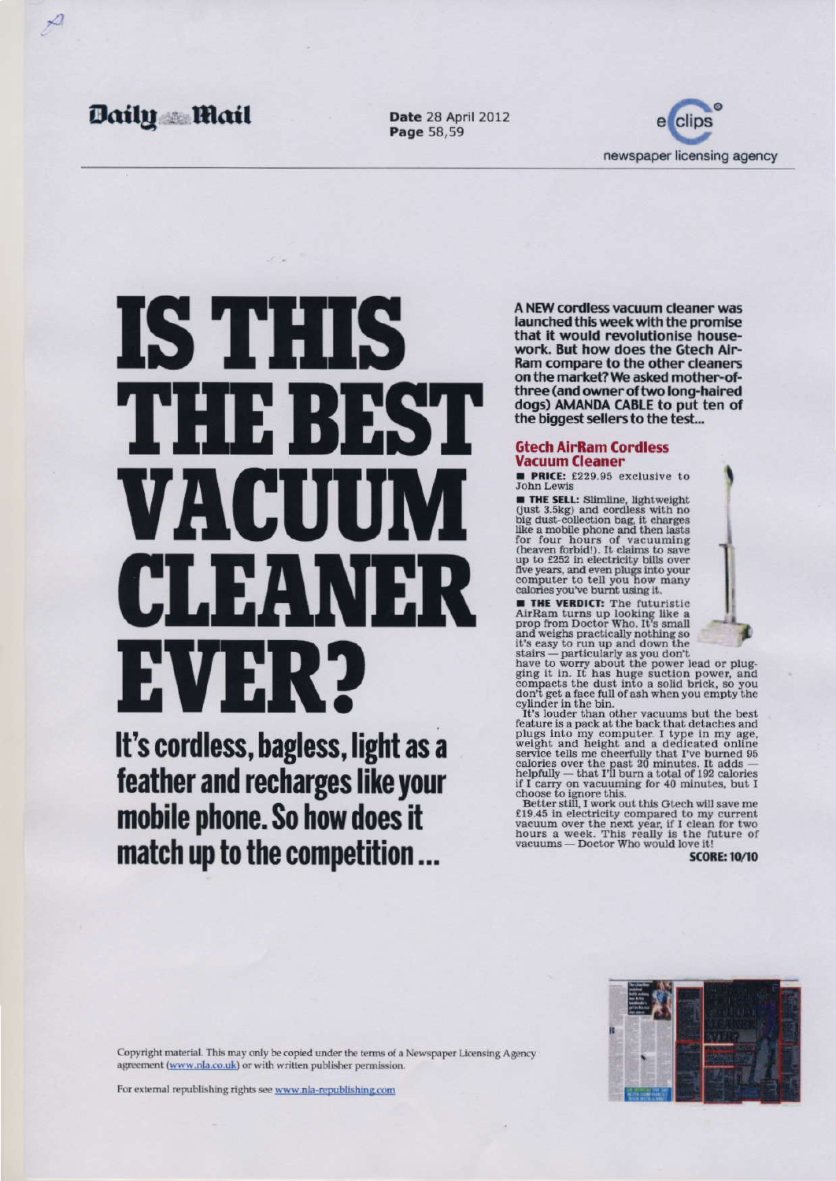# STIHS THEFREST VACUIN CLEAN EXANSE

It's cordless, bagless, light as a feather and recharges like your mobile phone. So how does it match up to the competition ...

A NEW cordless vacuum cleaner was launched this week with the promise that it would revolutionise housework. But how does the Gtech Air-Ram compare to the other cleaners on the market? We asked mother-ofthree (and owner of two long-haired dogs) AMANDA CABLE to put ten of the biggest sellers to the test...

### **Gtech AirRam Cordless Vacuum Cleaner**

**PRICE:** £229.95 exclusive to **John Lewis** 

**THE SELL:** Slimline, lightweight (just 3.5kg) and cordless with no big dust-collection bag, it charges like a mobile phone and then lasts for four hours of vacuuming (heaven forbid!). It claims to save up to £252 in electricity bills over five years, and even plugs into your computer to tell you how many calories you've burnt using it.

**THE VERDICT:** The futuristic AirRam turns up looking like a prop from Doctor Who. It's small and weighs practically nothing so it's easy to run up and down the stairs - particularly as you don't



It's louder than other vacuums but the best feature is a pack at the back that detaches and plugs into my computer. I type in my age, weight and height and a dedicated online service tells me cheerfully that I've burned 95 calories over the past 20 minutes. It adds helpfully - that I'll burn a total of 192 calories if I carry on vacuuming for 40 minutes, but I choose to ignore this.

Better still, I work out this Gtech will save me £19.45 in electricity compared to my current vacuum over the next year, if I clean for two hours a week. This really is the future of vacuums - Doctor Who would love it!

**SCORE: 10/10**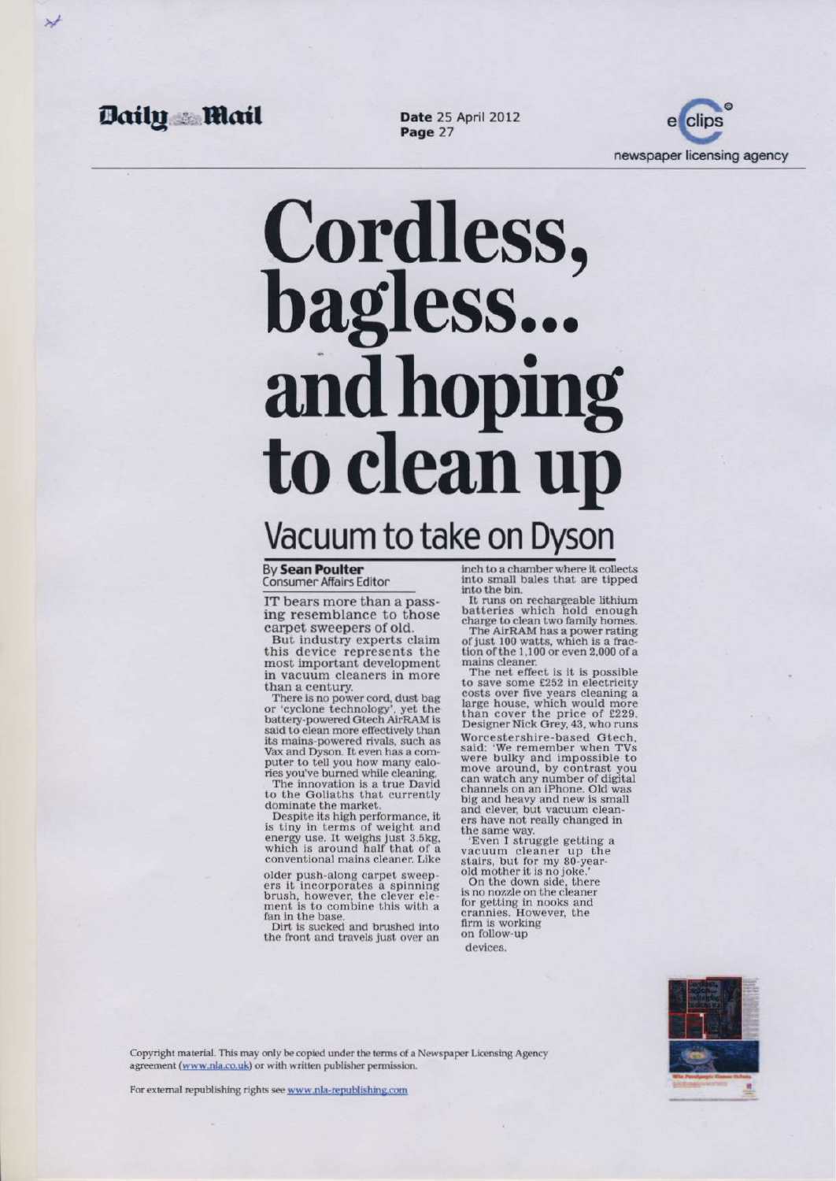# Cordless,<br>bagless... and hoping to clean up Vacuum to take on Dyson

**By Sean Poulter Consumer Affairs Editor** 

IT bears more than a passing resemblance to those carpet sweepers of old.

But industry experts claim this device represents the most important development in vacuum cleaners in more than a century.

There is no power cord, dust bag or 'cyclone technology', yet the battery-powered Gtech AirRAM is said to clean more effectively than its mains-powered rivals, such as Vax and Dyson. It even has a computer to tell you how many calories you've burned while cleaning.

The innovation is a true David to the Goliaths that currently dominate the market.

Despite its high performance, it is tiny in terms of weight and energy use. It weighs just 3.5kg,<br>which is around half that of a conventional mains cleaner. Like

older push-along carpet sweepers it incorporates a spinning brush, however, the clever ele-<br>ment is to combine this with a fan in the base.

Dirt is sucked and brushed into the front and travels just over an inch to a chamber where it collects into small bales that are tipped into the bin.

It runs on rechargeable lithium batteries which hold enough<br>charge to clean two family homes.

The AirRAM has a power rating of just 100 watts, which is a fraction of the 1,100 or even 2,000 of a mains cleaner.

The net effect is it is possible to save some £252 in electricity costs over five years cleaning a large house, which would more<br>than cover the price of £229. Designer Nick Grey, 43, who runs

Worcestershire-based Gtech. said: 'We remember when TVs were bulky and impossible to move around, by contrast you<br>can watch any number of digital channels on an iPhone. Old was big and heavy and new is small and clever, but vacuum cleaners have not really changed in the same way.

'Even I struggle getting a vacuum cleaner up the stairs, but for my 80-yearold mother it is no joke.

On the down side, there is no nozzle on the cleaner for getting in nooks and crannies. However, the firm is working on follow-up

devices.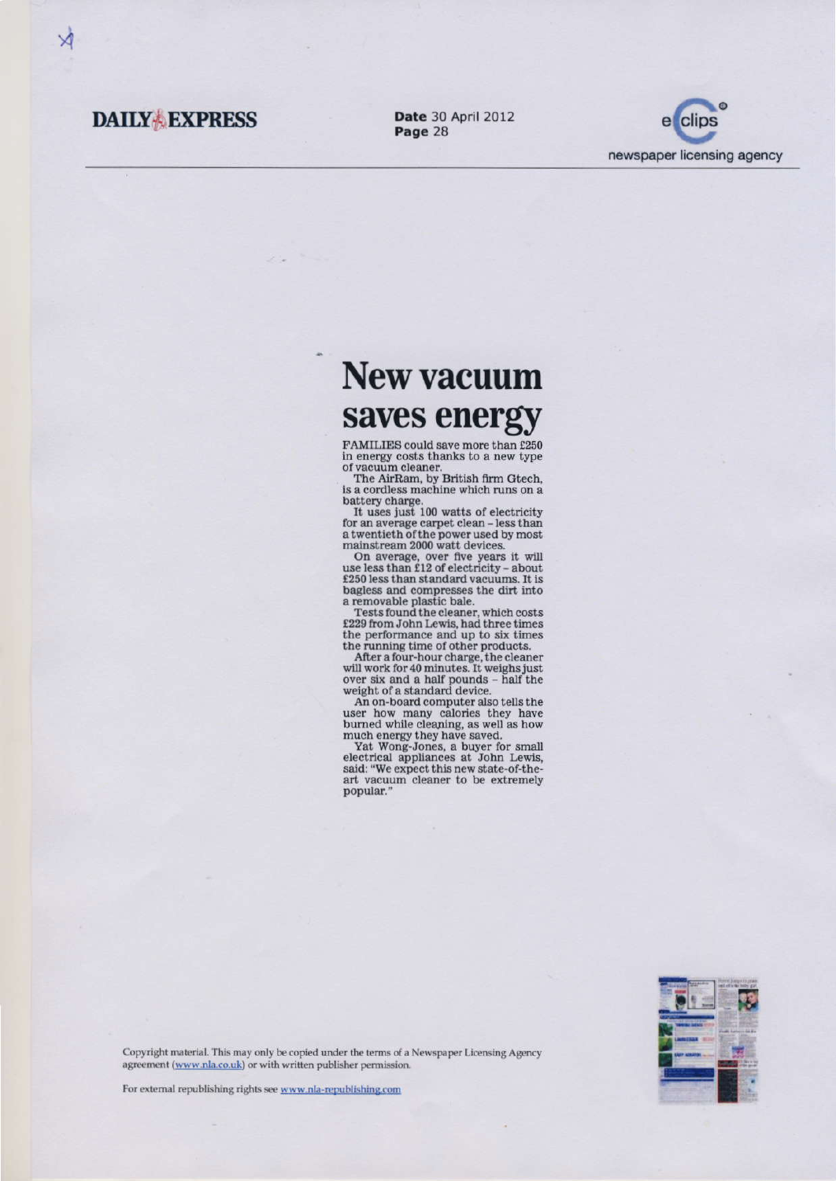## **New vacuum** saves energy

FAMILIES could save more than £250 in energy costs thanks to a new type of vacuum cleaner.

The AirRam, by British firm Gtech. is a cordless machine which runs on a battery charge.

It uses just 100 watts of electricity for an average carpet clean - less than a twentieth of the power used by most mainstream 2000 watt devices.

On average, over five years it will use less than £12 of electricity - about £250 less than standard vacuums. It is bagless and compresses the dirt into a removable plastic bale.

Tests found the cleaner, which costs £229 from John Lewis, had three times the performance and up to six times the running time of other products.

After a four-hour charge, the cleaner will work for 40 minutes. It weighs just over six and a half pounds - half the weight of a standard device.

An on-board computer also tells the user how many calories they have burned while cleaning, as well as how much energy they have saved.

Yat Wong-Jones, a buyer for small electrical appliances at John Lewis. said: "We expect this new state-of-theart vacuum cleaner to be extremely popular."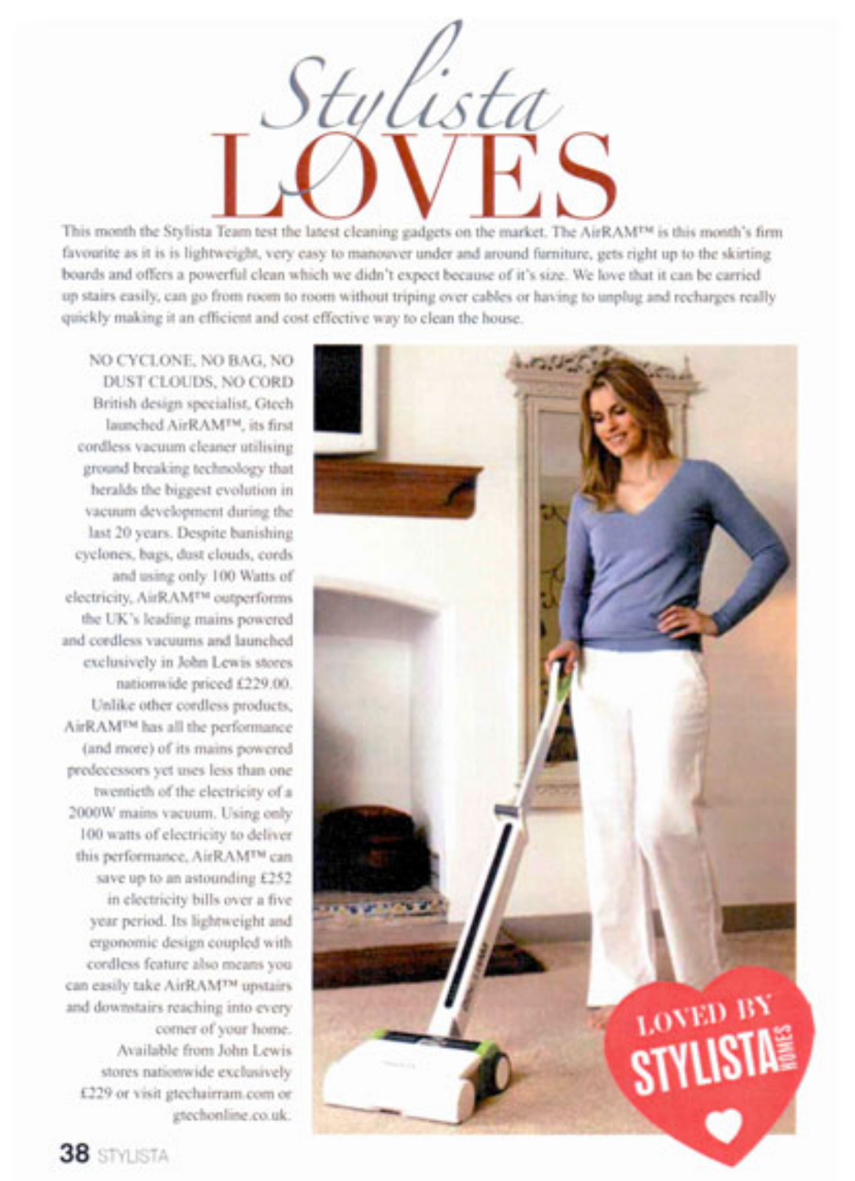

This month the Stylista Team test the latest cleaning gadgets on the market. The AirRAM<sup>154</sup> is this month's firm favourite as it is is lightweight, very easy to manouver under and around furniture, gets right up to the skirting boards and offers a powerful clean which we didn't expect because of it's size. We love that it can be carried up stairs easily, can go from room to room without triping over cables or having to unplug and recharges really quickly making it an efficient and cost effective way to clean the house.

NO CYCLONE, NO BAG, NO DUST CLOUDS, NO CORD British design specialist, Gtech launched AirRAM<sup>TM</sup>, its first cordless vacuum cleaner utilising ground breaking technology that heralds the biggest evolution in vacuum development during the last 20 years. Despite banishing cyclones, bags, dust clouds, cords and using only 100 Watts of electricity, AirRAM<sup>TM</sup> outperforms the UK's leading mains powered and cordless vacuums and launched exclusively in John Lewis stores nationwide priced £229.00. Unlike other cordless products, AirRAM<sup>TM</sup> has all the performance (and more) of its mains powered predecessors yet uses less than one twentieth of the electricity of a 2000W mains vacuum. Using only 100 watts of electricity to deliver this performance, AirRAM<sup>TM</sup> can save up to an astounding £252 in electricity bills over a five year period. Its lightweight and ergonomic design coupled with cordless feature also means you can easily take AirRAMTM upstairs and downstairs reaching into every corner of your home. Available from John Lewis stores nationwide exclusively £229 or visit gtechairram.com or gtechonline.co.uk